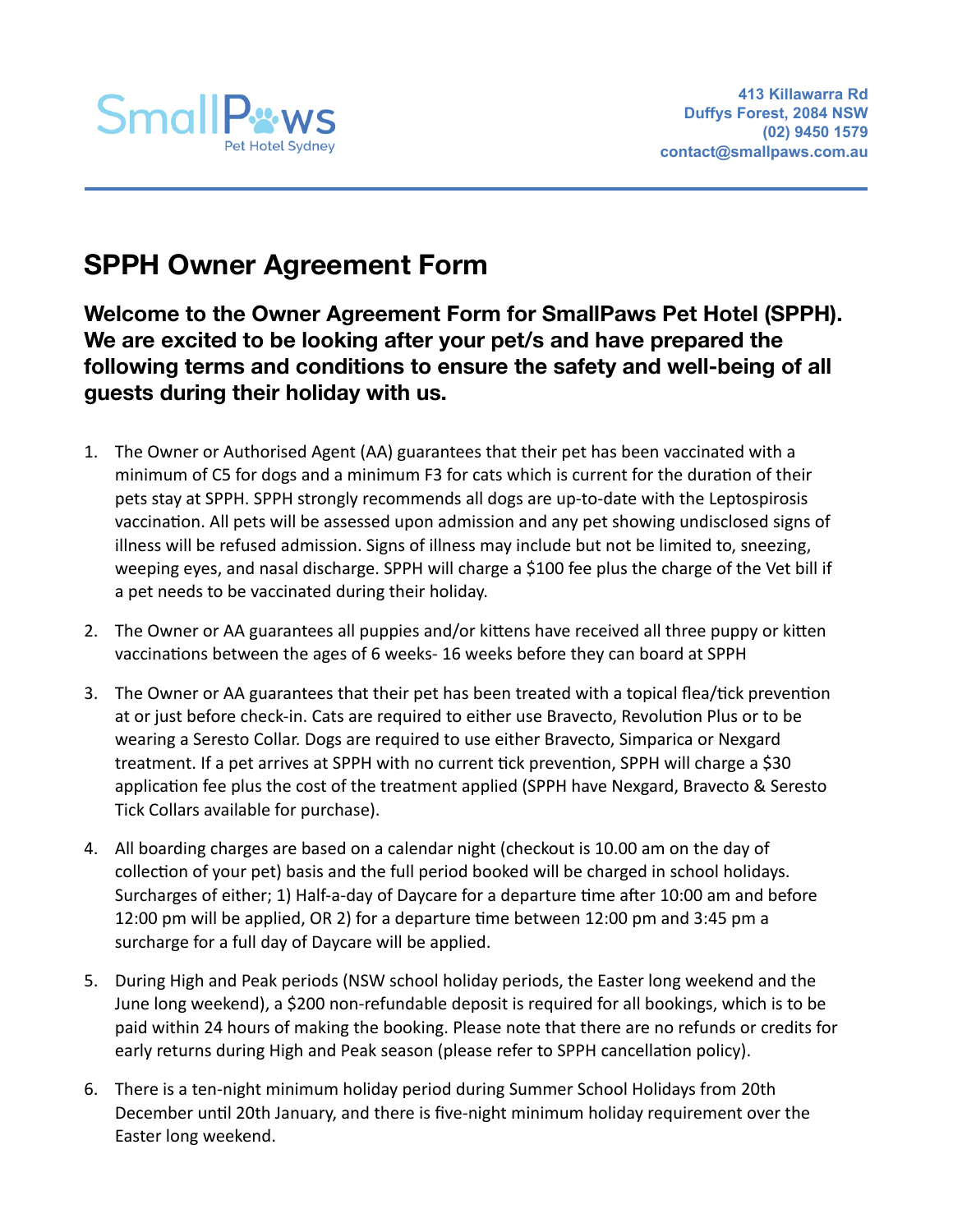

# **SPPH Owner Agreement Form**

**Welcome to the Owner Agreement Form for SmallPaws Pet Hotel (SPPH). We are excited to be looking after your pet/s and have prepared the following terms and conditions to ensure the safety and well-being of all guests during their holiday with us.** 

- 1. The Owner or Authorised Agent (AA) guarantees that their pet has been vaccinated with a minimum of C5 for dogs and a minimum F3 for cats which is current for the duration of their pets stay at SPPH. SPPH strongly recommends all dogs are up-to-date with the Leptospirosis vaccination. All pets will be assessed upon admission and any pet showing undisclosed signs of illness will be refused admission. Signs of illness may include but not be limited to, sneezing, weeping eyes, and nasal discharge. SPPH will charge a \$100 fee plus the charge of the Vet bill if a pet needs to be vaccinated during their holiday.
- 2. The Owner or AA guarantees all puppies and/or kittens have received all three puppy or kitten vaccinations between the ages of 6 weeks- 16 weeks before they can board at SPPH
- 3. The Owner or AA guarantees that their pet has been treated with a topical flea/tick prevention at or just before check-in. Cats are required to either use Bravecto, Revolution Plus or to be wearing a Seresto Collar. Dogs are required to use either Bravecto, Simparica or Nexgard treatment. If a pet arrives at SPPH with no current tick prevention, SPPH will charge a \$30 application fee plus the cost of the treatment applied (SPPH have Nexgard, Bravecto & Seresto Tick Collars available for purchase).
- 4. All boarding charges are based on a calendar night (checkout is 10.00 am on the day of collection of your pet) basis and the full period booked will be charged in school holidays. Surcharges of either; 1) Half-a-day of Daycare for a departure time after 10:00 am and before 12:00 pm will be applied, OR 2) for a departure time between 12:00 pm and 3:45 pm a surcharge for a full day of Daycare will be applied.
- 5. During High and Peak periods (NSW school holiday periods, the Easter long weekend and the June long weekend), a \$200 non-refundable deposit is required for all bookings, which is to be paid within 24 hours of making the booking. Please note that there are no refunds or credits for early returns during High and Peak season (please refer to SPPH cancellation policy).
- 6. There is a ten-night minimum holiday period during Summer School Holidays from 20th December until 20th January, and there is five-night minimum holiday requirement over the Easter long weekend.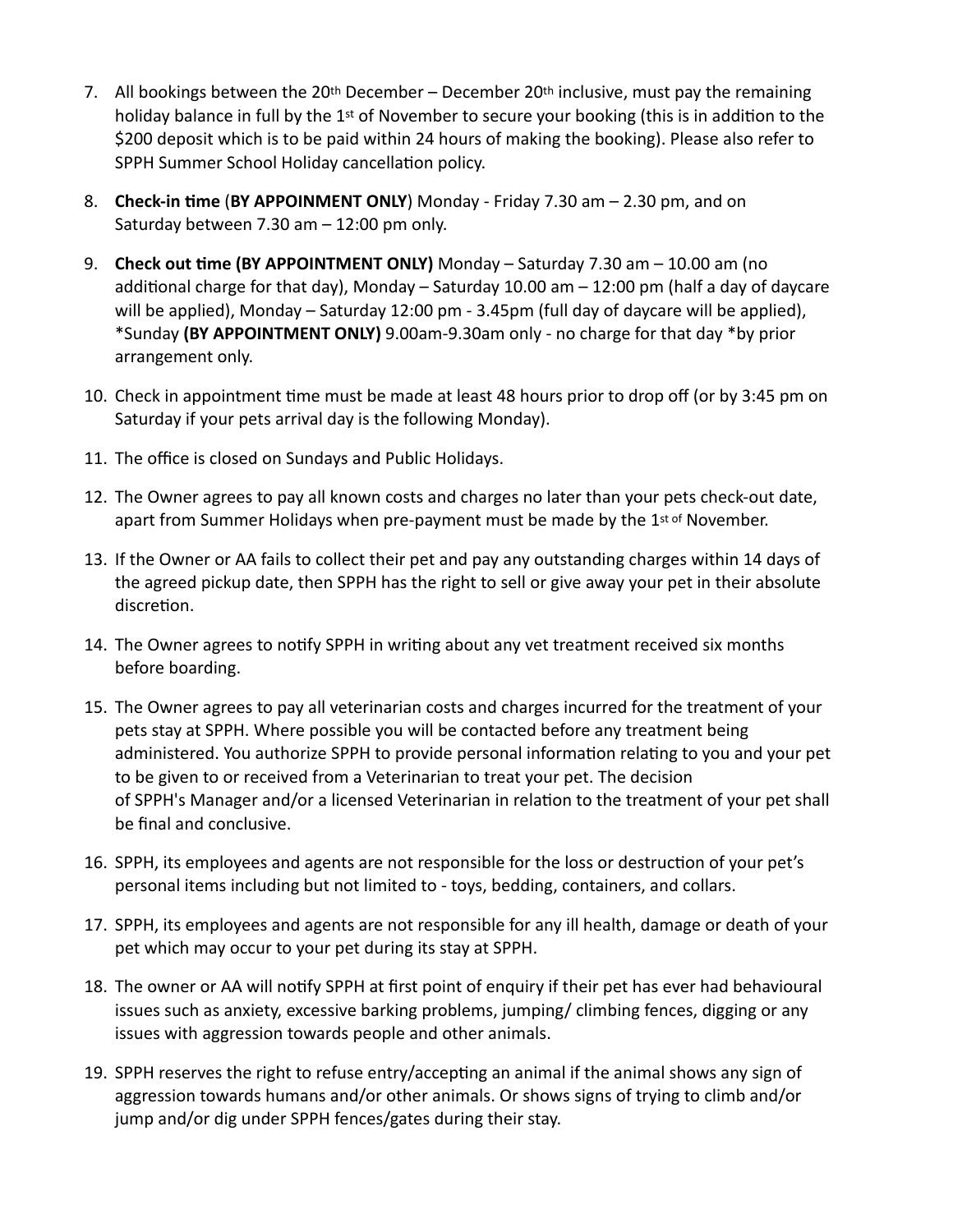- 7. All bookings between the 20<sup>th</sup> December December 20<sup>th</sup> inclusive, must pay the remaining holiday balance in full by the  $1<sup>st</sup>$  of November to secure your booking (this is in addition to the \$200 deposit which is to be paid within 24 hours of making the booking). Please also refer to SPPH Summer School Holiday cancellation policy.
- 8. **Check-in time** (**BY APPOINMENT ONLY**) Monday Friday 7.30 am 2.30 pm, and on Saturday between 7.30 am – 12:00 pm only.
- 9. **Check out time (BY APPOINTMENT ONLY)** Monday Saturday 7.30 am 10.00 am (no additional charge for that day), Monday – Saturday 10.00 am – 12:00 pm (half a day of daycare will be applied), Monday – Saturday 12:00 pm - 3.45pm (full day of daycare will be applied), \*Sunday **(BY APPOINTMENT ONLY)** 9.00am-9.30am only - no charge for that day \*by prior arrangement only.
- 10. Check in appointment time must be made at least 48 hours prior to drop off (or by 3:45 pm on Saturday if your pets arrival day is the following Monday).
- 11. The office is closed on Sundays and Public Holidays.
- 12. The Owner agrees to pay all known costs and charges no later than your pets check-out date, apart from Summer Holidays when pre-payment must be made by the 1st of November.
- 13. If the Owner or AA fails to collect their pet and pay any outstanding charges within 14 days of the agreed pickup date, then SPPH has the right to sell or give away your pet in their absolute discretion.
- 14. The Owner agrees to notify SPPH in writing about any vet treatment received six months before boarding.
- 15. The Owner agrees to pay all veterinarian costs and charges incurred for the treatment of your pets stay at SPPH. Where possible you will be contacted before any treatment being administered. You authorize SPPH to provide personal information relating to you and your pet to be given to or received from a Veterinarian to treat your pet. The decision of SPPH's Manager and/or a licensed Veterinarian in relation to the treatment of your pet shall be final and conclusive.
- 16. SPPH, its employees and agents are not responsible for the loss or destruction of your pet's personal items including but not limited to - toys, bedding, containers, and collars.
- 17. SPPH, its employees and agents are not responsible for any ill health, damage or death of your pet which may occur to your pet during its stay at SPPH.
- 18. The owner or AA will notify SPPH at first point of enquiry if their pet has ever had behavioural issues such as anxiety, excessive barking problems, jumping/ climbing fences, digging or any issues with aggression towards people and other animals.
- 19. SPPH reserves the right to refuse entry/accepting an animal if the animal shows any sign of aggression towards humans and/or other animals. Or shows signs of trying to climb and/or jump and/or dig under SPPH fences/gates during their stay.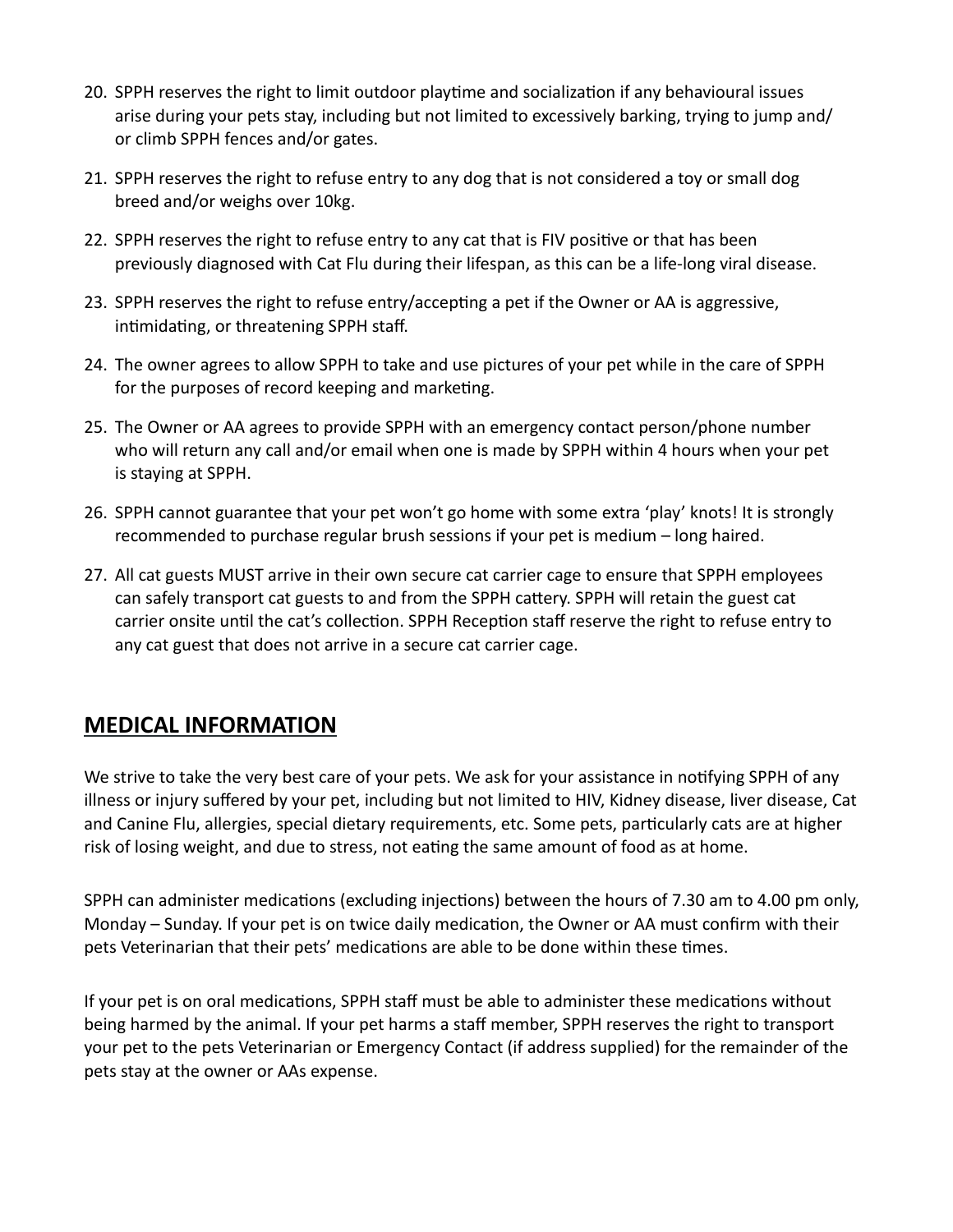- 20. SPPH reserves the right to limit outdoor playtime and socialization if any behavioural issues arise during your pets stay, including but not limited to excessively barking, trying to jump and/ or climb SPPH fences and/or gates.
- 21. SPPH reserves the right to refuse entry to any dog that is not considered a toy or small dog breed and/or weighs over 10kg.
- 22. SPPH reserves the right to refuse entry to any cat that is FIV positive or that has been previously diagnosed with Cat Flu during their lifespan, as this can be a life-long viral disease.
- 23. SPPH reserves the right to refuse entry/accepting a pet if the Owner or AA is aggressive, intimidating, or threatening SPPH staff.
- 24. The owner agrees to allow SPPH to take and use pictures of your pet while in the care of SPPH for the purposes of record keeping and marketing.
- 25. The Owner or AA agrees to provide SPPH with an emergency contact person/phone number who will return any call and/or email when one is made by SPPH within 4 hours when your pet is staying at SPPH.
- 26. SPPH cannot guarantee that your pet won't go home with some extra 'play' knots! It is strongly recommended to purchase regular brush sessions if your pet is medium – long haired.
- 27. All cat guests MUST arrive in their own secure cat carrier cage to ensure that SPPH employees can safely transport cat guests to and from the SPPH cattery. SPPH will retain the guest cat carrier onsite until the cat's collection. SPPH Reception staff reserve the right to refuse entry to any cat guest that does not arrive in a secure cat carrier cage.

# **MEDICAL INFORMATION**

We strive to take the very best care of your pets. We ask for your assistance in notifying SPPH of any illness or injury suffered by your pet, including but not limited to HIV, Kidney disease, liver disease, Cat and Canine Flu, allergies, special dietary requirements, etc. Some pets, particularly cats are at higher risk of losing weight, and due to stress, not eating the same amount of food as at home.

SPPH can administer medications (excluding injections) between the hours of 7.30 am to 4.00 pm only, Monday – Sunday. If your pet is on twice daily medication, the Owner or AA must confirm with their pets Veterinarian that their pets' medications are able to be done within these times.

If your pet is on oral medications, SPPH staff must be able to administer these medications without being harmed by the animal. If your pet harms a staff member, SPPH reserves the right to transport your pet to the pets Veterinarian or Emergency Contact (if address supplied) for the remainder of the pets stay at the owner or AAs expense.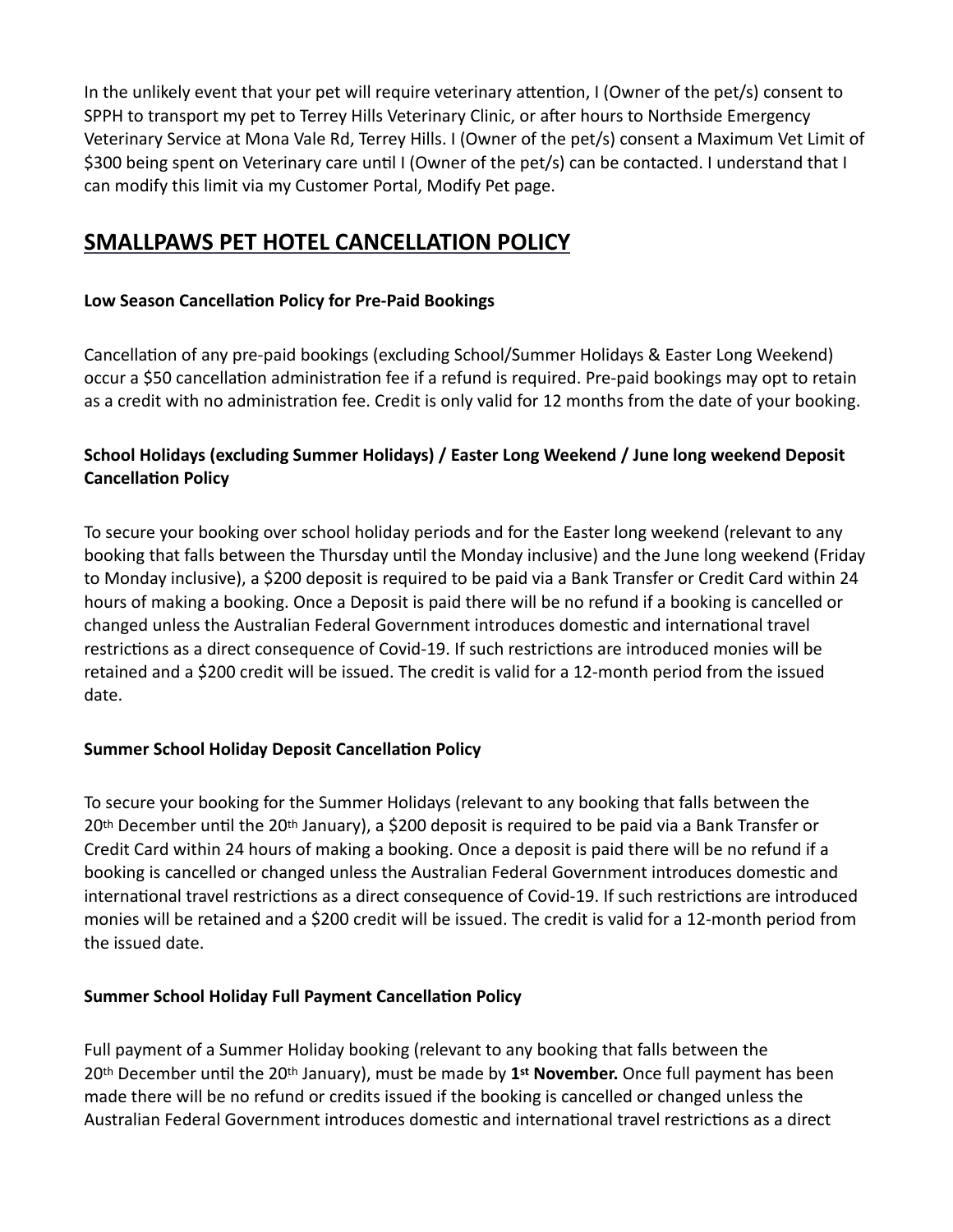In the unlikely event that your pet will require veterinary attention, I (Owner of the pet/s) consent to SPPH to transport my pet to Terrey Hills Veterinary Clinic, or after hours to Northside Emergency Veterinary Service at Mona Vale Rd, Terrey Hills. I (Owner of the pet/s) consent a Maximum Vet Limit of \$300 being spent on Veterinary care until I (Owner of the pet/s) can be contacted. I understand that I can modify this limit via my Customer Portal, Modify Pet page.

# **SMALLPAWS PET HOTEL CANCELLATION POLICY**

## **Low Season Cancellation Policy for Pre-Paid Bookings**

Cancellation of any pre-paid bookings (excluding School/Summer Holidays & Easter Long Weekend) occur a \$50 cancellation administration fee if a refund is required. Pre-paid bookings may opt to retain as a credit with no administration fee. Credit is only valid for 12 months from the date of your booking.

# **School Holidays (excluding Summer Holidays) / Easter Long Weekend / June long weekend Deposit Cancellation Policy**

To secure your booking over school holiday periods and for the Easter long weekend (relevant to any booking that falls between the Thursday until the Monday inclusive) and the June long weekend (Friday to Monday inclusive), a \$200 deposit is required to be paid via a Bank Transfer or Credit Card within 24 hours of making a booking. Once a Deposit is paid there will be no refund if a booking is cancelled or changed unless the Australian Federal Government introduces domestic and international travel restrictions as a direct consequence of Covid-19. If such restrictions are introduced monies will be retained and a \$200 credit will be issued. The credit is valid for a 12-month period from the issued date.

## **Summer School Holiday Deposit Cancellation Policy**

To secure your booking for the Summer Holidays (relevant to any booking that falls between the 20th December until the 20th January), a \$200 deposit is required to be paid via a Bank Transfer or Credit Card within 24 hours of making a booking. Once a deposit is paid there will be no refund if a booking is cancelled or changed unless the Australian Federal Government introduces domestic and international travel restrictions as a direct consequence of Covid-19. If such restrictions are introduced monies will be retained and a \$200 credit will be issued. The credit is valid for a 12-month period from the issued date.

## **Summer School Holiday Full Payment Cancellation Policy**

Full payment of a Summer Holiday booking (relevant to any booking that falls between the 20th December until the 20th January), must be made by **1st November.** Once full payment has been made there will be no refund or credits issued if the booking is cancelled or changed unless the Australian Federal Government introduces domestic and international travel restrictions as a direct